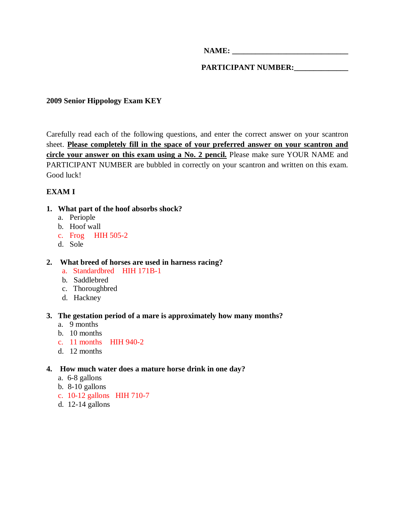**NAME:**  $\blacksquare$ 

PARTICIPANT NUMBER:

# **2009 Senior Hippology Exam KEY**

Carefully read each of the following questions, and enter the correct answer on your scantron sheet. **Please completely fill in the space of your preferred answer on your scantron and circle your answer on this exam using a No. 2 pencil.** Please make sure YOUR NAME and PARTICIPANT NUMBER are bubbled in correctly on your scantron and written on this exam. Good luck!

# **EXAM I**

- **1. What part of the hoof absorbs shock?** 
	- a. Periople
	- b. Hoof wall
	- c. Frog HIH 505-2
	- d. Sole
- **2. What breed of horses are used in harness racing?** 
	- a. Standardbred HIH 171B-1
	- b. Saddlebred
	- c. Thoroughbred
	- d. Hackney

### **3. The gestation period of a mare is approximately how many months?**

- a. 9 months
- b. 10 months
- c. 11 months HIH 940-2
- d. 12 months

### **4. How much water does a mature horse drink in one day?**

- a. 6-8 gallons
- b. 8-10 gallons
- c. 10-12 gallons HIH 710-7
- d. 12-14 gallons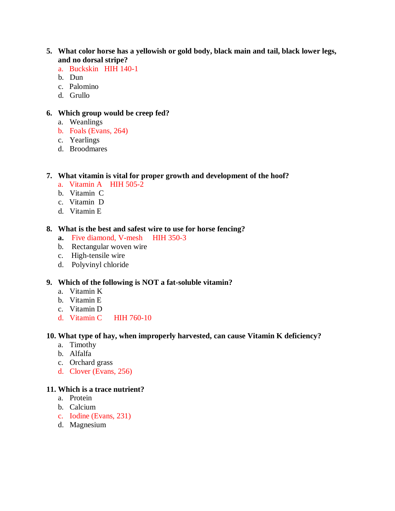## **5. What color horse has a yellowish or gold body, black main and tail, black lower legs, and no dorsal stripe?**

- a. Buckskin HIH 140-1
- b. Dun
- c. Palomino
- d. Grullo

# **6. Which group would be creep fed?**

- a. Weanlings
- b. Foals (Evans, 264)
- c. Yearlings
- d. Broodmares

#### **7. What vitamin is vital for proper growth and development of the hoof?**

- a. Vitamin A HIH 505-2
- b. Vitamin C
- c. Vitamin D
- d. Vitamin E

#### **8. What is the best and safest wire to use for horse fencing?**

- **a.** Five diamond, V-mesh HIH 350-3
- b. Rectangular woven wire
- c. High-tensile wire
- d. Polyvinyl chloride

#### **9. Which of the following is NOT a fat-soluble vitamin?**

- a. Vitamin K
- b. Vitamin E
- c. Vitamin D
- d. Vitamin C HIH 760-10

#### **10. What type of hay, when improperly harvested, can cause Vitamin K deficiency?**

- a. Timothy
- b. Alfalfa
- c. Orchard grass
- d. Clover (Evans, 256)

#### **11. Which is a trace nutrient?**

- a. Protein
- b. Calcium
- c. Iodine (Evans, 231)
- d. Magnesium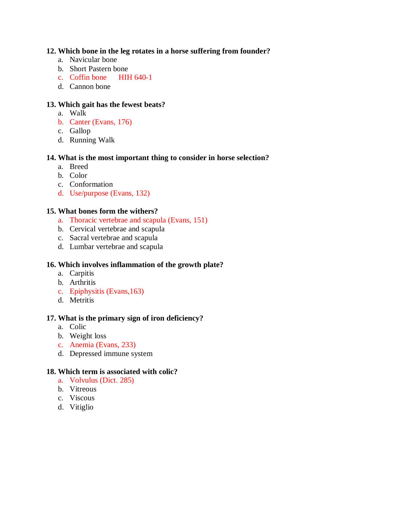# **12. Which bone in the leg rotates in a horse suffering from founder?**

- a. Navicular bone
- b. Short Pastern bone
- c. Coffin bone HIH 640-1
- d. Cannon bone

# **13. Which gait has the fewest beats?**

- a. Walk
- b. Canter (Evans, 176)
- c. Gallop
- d. Running Walk

## **14. What is the most important thing to consider in horse selection?**

- a. Breed
- b. Color
- c. Conformation
- d. Use/purpose (Evans, 132)

## **15. What bones form the withers?**

- a. Thoracic vertebrae and scapula (Evans, 151)
- b. Cervical vertebrae and scapula
- c. Sacral vertebrae and scapula
- d. Lumbar vertebrae and scapula

# **16. Which involves inflammation of the growth plate?**

- a. Carpitis
- b. Arthritis
- c. Epiphysitis (Evans,163)
- d. Metritis

### **17. What is the primary sign of iron deficiency?**

- a. Colic
- b. Weight loss
- c. Anemia (Evans, 233)
- d. Depressed immune system

### **18. Which term is associated with colic?**

- a. Volvulus (Dict. 285)
- b. Vitreous
- c. Viscous
- d. Vitiglio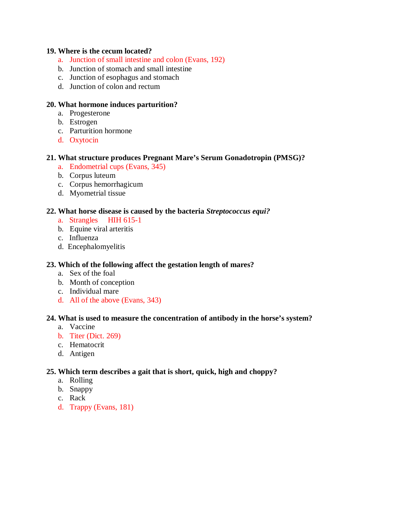#### **19. Where is the cecum located?**

- a. Junction of small intestine and colon (Evans, 192)
- b. Junction of stomach and small intestine
- c. Junction of esophagus and stomach
- d. Junction of colon and rectum

### **20. What hormone induces parturition?**

- a. Progesterone
- b. Estrogen
- c. Parturition hormone
- d. Oxytocin

#### **21. What structure produces Pregnant Mare's Serum Gonadotropin (PMSG)?**

- a. Endometrial cups (Evans, 345)
- b. Corpus luteum
- c. Corpus hemorrhagicum
- d. Myometrial tissue

#### **22. What horse disease is caused by the bacteria** *Streptococcus equi?*

- a. Strangles HIH 615-1
- b. Equine viral arteritis
- c. Influenza
- d. Encephalomyelitis

### **23. Which of the following affect the gestation length of mares?**

- a. Sex of the foal
- b. Month of conception
- c. Individual mare
- d. All of the above (Evans, 343)

#### **24. What is used to measure the concentration of antibody in the horse's system?**

- a. Vaccine
- b. Titer (Dict. 269)
- c. Hematocrit
- d. Antigen

#### **25. Which term describes a gait that is short, quick, high and choppy?**

- a. Rolling
- b. Snappy
- c. Rack
- d. Trappy (Evans, 181)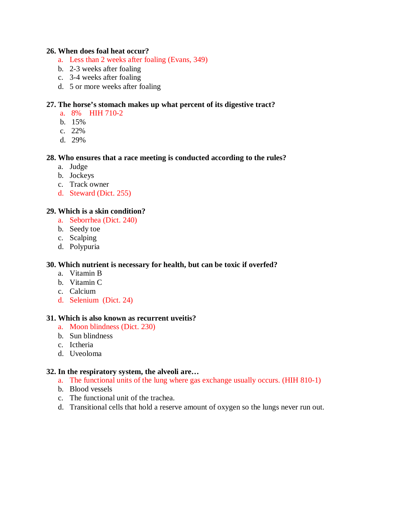#### **26. When does foal heat occur?**

- a. Less than 2 weeks after foaling (Evans, 349)
- b. 2-3 weeks after foaling
- c. 3-4 weeks after foaling
- d. 5 or more weeks after foaling

### **27. The horse's stomach makes up what percent of its digestive tract?**

- a. 8% HIH 710-2
- b. 15%
- c. 22%
- d. 29%

### **28. Who ensures that a race meeting is conducted according to the rules?**

- a. Judge
- b. Jockeys
- c. Track owner
- d. Steward (Dict. 255)

## **29. Which is a skin condition?**

- a. Seborrhea (Dict. 240)
- b. Seedy toe
- c. Scalping
- d. Polypuria

### **30. Which nutrient is necessary for health, but can be toxic if overfed?**

- a. Vitamin B
- b. Vitamin C
- c. Calcium
- d. Selenium (Dict. 24)

### **31. Which is also known as recurrent uveitis?**

- a. Moon blindness (Dict. 230)
- b. Sun blindness
- c. Ictheria
- d. Uveoloma

### **32. In the respiratory system, the alveoli are…**

- a. The functional units of the lung where gas exchange usually occurs. (HIH 810-1)
- b. Blood vessels
- c. The functional unit of the trachea.
- d. Transitional cells that hold a reserve amount of oxygen so the lungs never run out.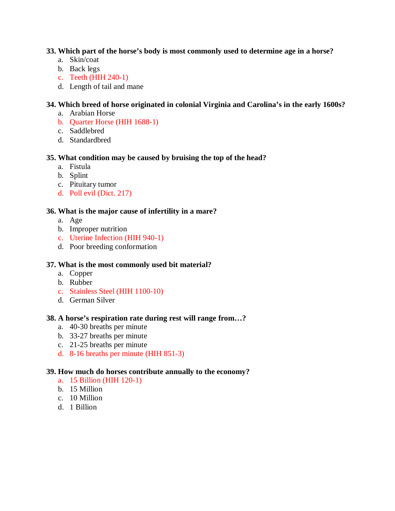### **33. Which part of the horse's body is most commonly used to determine age in a horse?**

- a. Skin/coat
- b. Back legs
- c. Teeth (HIH 240-1)
- d. Length of tail and mane

# **34. Which breed of horse originated in colonial Virginia and Carolina's in the early 1600s?**

- a. Arabian Horse
- b. Quarter Horse (HIH 1688-1)
- c. Saddlebred
- d. Standardbred

# **35. What condition may be caused by bruising the top of the head?**

- a. Fistula
- b. Splint
- c. Pituitary tumor
- d. Poll evil (Dict. 217)

# **36. What is the major cause of infertility in a mare?**

- a. Age
- b. Improper nutrition
- c. Uterine Infection (HIH 940-1)
- d. Poor breeding conformation

# **37. What is the most commonly used bit material?**

- a. Copper
- b. Rubber
- c. Stainless Steel (HIH 1100-10)
- d. German Silver

# **38. A horse's respiration rate during rest will range from…?**

- a. 40-30 breaths per minute
- b. 33-27 breaths per minute
- c. 21-25 breaths per minute
- d. 8-16 breaths per minute (HIH 851-3)

# **39. How much do horses contribute annually to the economy?**

- a. 15 Billion (HIH 120-1)
- b. 15 Million
- c. 10 Million
- d. 1 Billion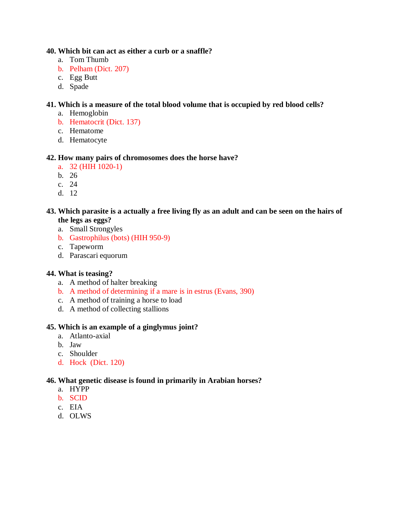### **40. Which bit can act as either a curb or a snaffle?**

- a. Tom Thumb
- b. Pelham (Dict. 207)
- c. Egg Butt
- d. Spade

# **41. Which is a measure of the total blood volume that is occupied by red blood cells?**

- a. Hemoglobin
- b. Hematocrit (Dict. 137)
- c. Hematome
- d. Hematocyte

# **42. How many pairs of chromosomes does the horse have?**

- a. 32 (HIH 1020-1)
- b. 26
- c. 24
- d. 12

### **43. Which parasite is a actually a free living fly as an adult and can be seen on the hairs of the legs as eggs?**

- a. Small Strongyles
- b. Gastrophilus (bots) (HIH 950-9)
- c. Tapeworm
- d. Parascari equorum

# **44. What is teasing?**

- a. A method of halter breaking
- b. A method of determining if a mare is in estrus (Evans, 390)
- c. A method of training a horse to load
- d. A method of collecting stallions

# **45. Which is an example of a ginglymus joint?**

- a. Atlanto-axial
- b. Jaw
- c. Shoulder
- d. Hock (Dict. 120)

# **46. What genetic disease is found in primarily in Arabian horses?**

- a. HYPP
- b. SCID
- c. EIA
- d. OLWS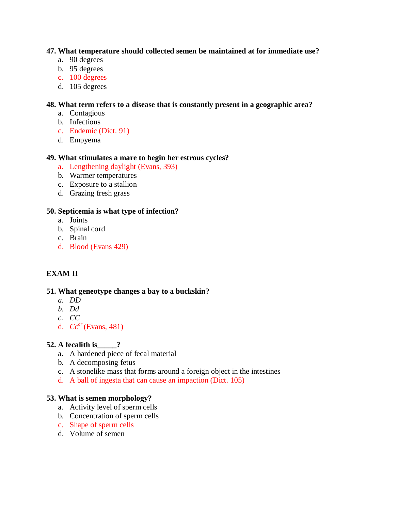### **47. What temperature should collected semen be maintained at for immediate use?**

- a. 90 degrees
- b. 95 degrees
- c. 100 degrees
- d. 105 degrees

# **48. What term refers to a disease that is constantly present in a geographic area?**

- a. Contagious
- b. Infectious
- c. Endemic (Dict. 91)
- d. Empyema

## **49. What stimulates a mare to begin her estrous cycles?**

- a. Lengthening daylight (Evans, 393)
- b. Warmer temperatures
- c. Exposure to a stallion
- d. Grazing fresh grass

## **50. Septicemia is what type of infection?**

- a. Joints
- b. Spinal cord
- c. Brain
- d. Blood (Evans 429)

# **EXAM II**

# **51. What geneotype changes a bay to a buckskin?**

- *a. DD*
- *b. Dd*
- *c. CC*
- d. *Cccr* (Evans, 481)

# **52. A fecalith is\_\_\_\_\_?**

- a. A hardened piece of fecal material
- b. A decomposing fetus
- c. A stonelike mass that forms around a foreign object in the intestines
- d. A ball of ingesta that can cause an impaction (Dict. 105)

### **53. What is semen morphology?**

- a. Activity level of sperm cells
- b. Concentration of sperm cells
- c. Shape of sperm cells
- d. Volume of semen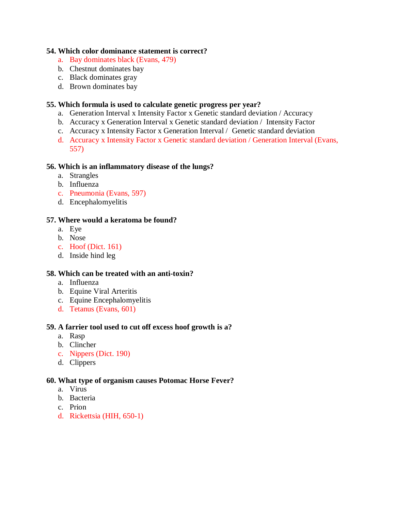### **54. Which color dominance statement is correct?**

- a. Bay dominates black (Evans, 479)
- b. Chestnut dominates bay
- c. Black dominates gray
- d. Brown dominates bay

### **55. Which formula is used to calculate genetic progress per year?**

- a. Generation Interval x Intensity Factor x Genetic standard deviation / Accuracy
- b. Accuracy x Generation Interval x Genetic standard deviation / Intensity Factor
- c. Accuracy x Intensity Factor x Generation Interval / Genetic standard deviation
- d. Accuracy x Intensity Factor x Genetic standard deviation / Generation Interval (Evans, 557)

#### **56. Which is an inflammatory disease of the lungs?**

- a. Strangles
- b. Influenza
- c. Pneumonia (Evans, 597)
- d. Encephalomyelitis

#### **57. Where would a keratoma be found?**

- a. Eye
- b. Nose
- c. Hoof (Dict. 161)
- d. Inside hind leg

#### **58. Which can be treated with an anti-toxin?**

- a. Influenza
- b. Equine Viral Arteritis
- c. Equine Encephalomyelitis
- d. Tetanus (Evans, 601)

#### **59. A farrier tool used to cut off excess hoof growth is a?**

- a. Rasp
- b. Clincher
- c. Nippers (Dict. 190)
- d. Clippers

#### **60. What type of organism causes Potomac Horse Fever?**

- a. Virus
- b. Bacteria
- c. Prion
- d. Rickettsia (HIH, 650-1)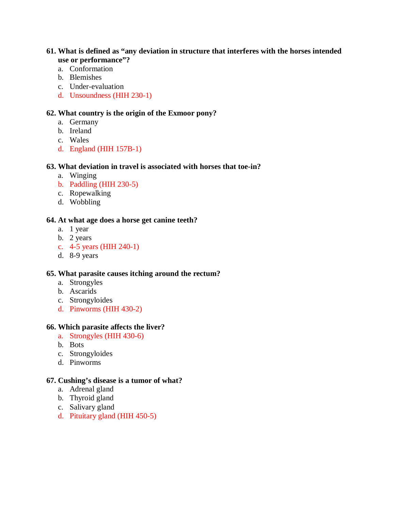### **61. What is defined as "any deviation in structure that interferes with the horses intended use or performance"?**

- a. Conformation
- b. Blemishes
- c. Under-evaluation
- d. Unsoundness (HIH 230-1)

## **62. What country is the origin of the Exmoor pony?**

- a. Germany
- b. Ireland
- c. Wales
- d. England (HIH 157B-1)

## **63. What deviation in travel is associated with horses that toe-in?**

- a. Winging
- b. Paddling (HIH 230-5)
- c. Ropewalking
- d. Wobbling

### **64. At what age does a horse get canine teeth?**

- a. 1 year
- b. 2 years
- c. 4-5 years (HIH 240-1)
- d. 8-9 years

### **65. What parasite causes itching around the rectum?**

- a. Strongyles
- b. Ascarids
- c. Strongyloides
- d. Pinworms (HIH 430-2)

### **66. Which parasite affects the liver?**

- a. Strongyles (HIH 430-6)
- b. Bots
- c. Strongyloides
- d. Pinworms

#### **67. Cushing's disease is a tumor of what?**

- a. Adrenal gland
- b. Thyroid gland
- c. Salivary gland
- d. Pituitary gland (HIH 450-5)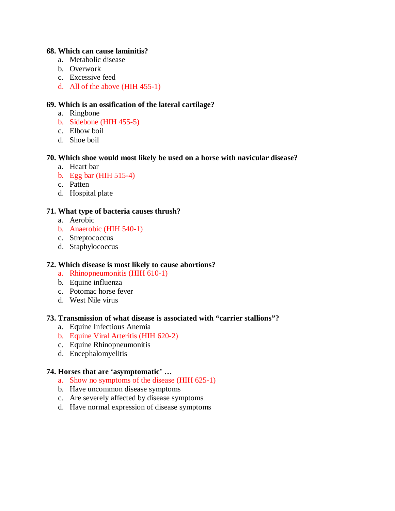#### **68. Which can cause laminitis?**

- a. Metabolic disease
- b. Overwork
- c. Excessive feed
- d. All of the above (HIH 455-1)

## **69. Which is an ossification of the lateral cartilage?**

- a. Ringbone
- b. Sidebone (HIH 455-5)
- c. Elbow boil
- d. Shoe boil

### **70. Which shoe would most likely be used on a horse with navicular disease?**

- a. Heart bar
- b. Egg bar (HIH 515-4)
- c. Patten
- d. Hospital plate

## **71. What type of bacteria causes thrush?**

- a. Aerobic
- b. Anaerobic (HIH 540-1)
- c. Streptococcus
- d. Staphylococcus

### **72. Which disease is most likely to cause abortions?**

- a. Rhinopneumonitis (HIH 610-1)
- b. Equine influenza
- c. Potomac horse fever
- d. West Nile virus

### **73. Transmission of what disease is associated with "carrier stallions"?**

- a. Equine Infectious Anemia
- b. Equine Viral Arteritis (HIH 620-2)
- c. Equine Rhinopneumonitis
- d. Encephalomyelitis

### **74. Horses that are 'asymptomatic' …**

- a. Show no symptoms of the disease (HIH 625-1)
- b. Have uncommon disease symptoms
- c. Are severely affected by disease symptoms
- d. Have normal expression of disease symptoms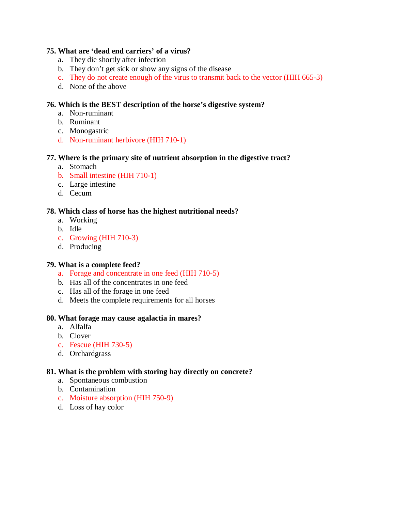# **75. What are 'dead end carriers' of a virus?**

- a. They die shortly after infection
- b. They don't get sick or show any signs of the disease
- c. They do not create enough of the virus to transmit back to the vector (HIH 665-3)
- d. None of the above

# **76. Which is the BEST description of the horse's digestive system?**

- a. Non-ruminant
- b. Ruminant
- c. Monogastric
- d. Non-ruminant herbivore (HIH 710-1)

## **77. Where is the primary site of nutrient absorption in the digestive tract?**

- a. Stomach
- b. Small intestine (HIH 710-1)
- c. Large intestine
- d. Cecum

## **78. Which class of horse has the highest nutritional needs?**

- a. Working
- b. Idle
- c. Growing (HIH 710-3)
- d. Producing

### **79. What is a complete feed?**

- a. Forage and concentrate in one feed (HIH 710-5)
- b. Has all of the concentrates in one feed
- c. Has all of the forage in one feed
- d. Meets the complete requirements for all horses

### **80. What forage may cause agalactia in mares?**

- a. Alfalfa
- b. Clover
- c. Fescue (HIH 730-5)
- d. Orchardgrass

### **81. What is the problem with storing hay directly on concrete?**

- a. Spontaneous combustion
- b. Contamination
- c. Moisture absorption (HIH 750-9)
- d. Loss of hay color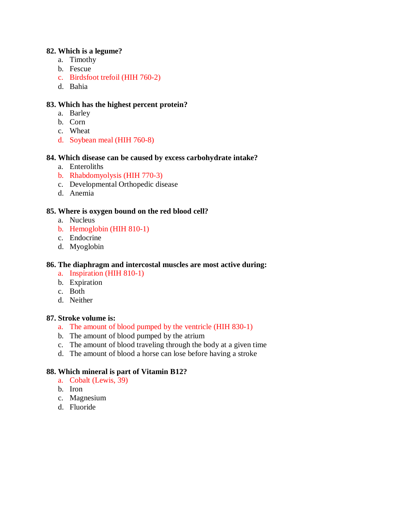### **82. Which is a legume?**

- a. Timothy
- b. Fescue
- c. Birdsfoot trefoil (HIH 760-2)
- d. Bahia

## **83. Which has the highest percent protein?**

- a. Barley
- b. Corn
- c. Wheat
- d. Soybean meal (HIH 760-8)

## **84. Which disease can be caused by excess carbohydrate intake?**

- a. Enteroliths
- b. Rhabdomyolysis (HIH 770-3)
- c. Developmental Orthopedic disease
- d. Anemia

## **85. Where is oxygen bound on the red blood cell?**

- a. Nucleus
- b. Hemoglobin (HIH 810-1)
- c. Endocrine
- d. Myoglobin

### **86. The diaphragm and intercostal muscles are most active during:**

- a. Inspiration (HIH 810-1)
- b. Expiration
- c. Both
- d. Neither

### **87. Stroke volume is:**

- a. The amount of blood pumped by the ventricle (HIH 830-1)
- b. The amount of blood pumped by the atrium
- c. The amount of blood traveling through the body at a given time
- d. The amount of blood a horse can lose before having a stroke

### **88. Which mineral is part of Vitamin B12?**

- a. Cobalt (Lewis, 39)
- b. Iron
- c. Magnesium
- d. Fluoride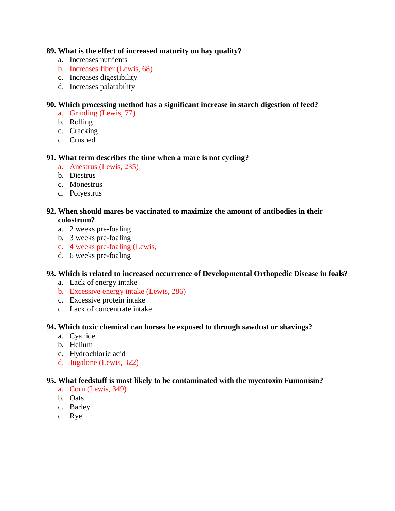### **89. What is the effect of increased maturity on hay quality?**

- a. Increases nutrients
- b. Increases fiber (Lewis, 68)
- c. Increases digestibility
- d. Increases palatability

# **90. Which processing method has a significant increase in starch digestion of feed?**

- a. Grinding (Lewis, 77)
- b. Rolling
- c. Cracking
- d. Crushed

## **91. What term describes the time when a mare is not cycling?**

- a. Anestrus (Lewis, 235)
- b. Diestrus
- c. Monestrus
- d. Polyestrus

## **92. When should mares be vaccinated to maximize the amount of antibodies in their colostrum?**

- a. 2 weeks pre-foaling
- b. 3 weeks pre-foaling
- c. 4 weeks pre-foaling (Lewis,
- d. 6 weeks pre-foaling

### **93. Which is related to increased occurrence of Developmental Orthopedic Disease in foals?**

- a. Lack of energy intake
- b. Excessive energy intake (Lewis, 286)
- c. Excessive protein intake
- d. Lack of concentrate intake

### **94. Which toxic chemical can horses be exposed to through sawdust or shavings?**

- a. Cyanide
- b. Helium
- c. Hydrochloric acid
- d. Jugalone (Lewis, 322)

# **95. What feedstuff is most likely to be contaminated with the mycotoxin Fumonisin?**

- a. Corn (Lewis, 349)
- b. Oats
- c. Barley
- d. Rye